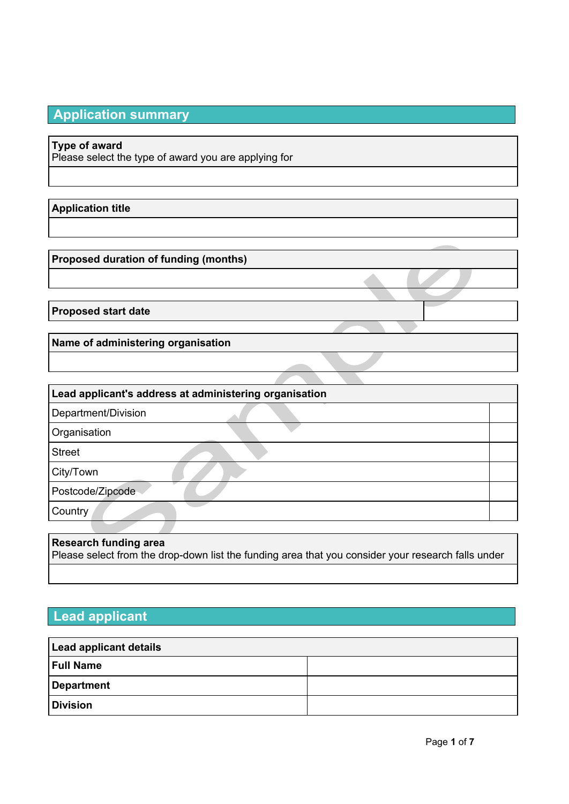# **Application summary**

# **Type of award**

Please select the type of award you are applying for

# **Application title**

**Proposed duration of funding (months)**

**Proposed start date**

**Name of administering organisation**

| Lead applicant's address at administering organisation |  |  |
|--------------------------------------------------------|--|--|
| Department/Division                                    |  |  |
| Organisation                                           |  |  |
| <b>Street</b>                                          |  |  |
| City/Town                                              |  |  |
| Postcode/Zipcode                                       |  |  |
| Country                                                |  |  |
|                                                        |  |  |

## **Research funding area**

Please select from the drop-down list the funding area that you consider your research falls under

# **Lead applicant**

| Lead applicant details |  |  |  |  |
|------------------------|--|--|--|--|
| <b>Full Name</b>       |  |  |  |  |
| Department             |  |  |  |  |
| <b>Division</b>        |  |  |  |  |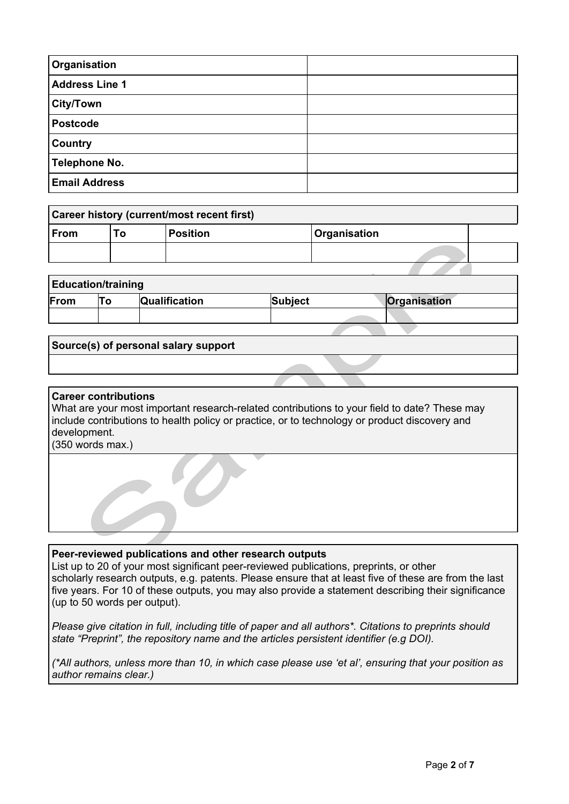| Organisation           |  |
|------------------------|--|
| <b>Address Line 1</b>  |  |
| <sup>∖</sup> City/Town |  |
| <b>Postcode</b>        |  |
| <b>Country</b>         |  |
| <b>Telephone No.</b>   |  |
| <b>Email Address</b>   |  |

| Career history (current/most recent first) |    |                 |                            |  |  |
|--------------------------------------------|----|-----------------|----------------------------|--|--|
| $ $ From                                   | ıο | <b>Position</b> | <i><b>Organisation</b></i> |  |  |
|                                            |    |                 |                            |  |  |

## **Education/training**

|      | - |                      |                |                     |  |  |  |
|------|---|----------------------|----------------|---------------------|--|--|--|
| From |   | <b>Qualification</b> | <b>Subject</b> | <b>Organisation</b> |  |  |  |
|      |   |                      |                |                     |  |  |  |

### **Source(s) of personal salary support**

### **Career contributions**

What are your most important research-related contributions to your field to date? These may include contributions to health policy or practice, or to technology or product discovery and development.

(350 words max.)

#### **Peer-reviewed publications and other research outputs**

List up to 20 of your most significant peer-reviewed publications, preprints, or other scholarly research outputs, e.g. patents. Please ensure that at least five of these are from the last five years. For 10 of these outputs, you may also provide a statement describing their significance (up to 50 words per output).

*Please give citation in full, including title of paper and all authors\*. Citations to preprints should state "Preprint", the repository name and the articles persistent identifier (e.g DOI).*

(\*All authors, unless more than 10, in which case please use 'et al', ensuring that your position as *author remains clear.)*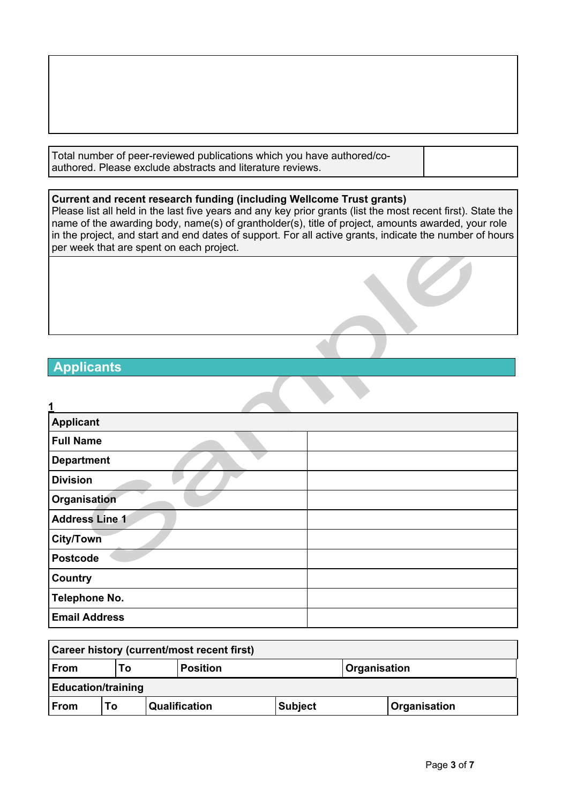Total number of peer-reviewed publications which you have authored/coauthored. Please exclude abstracts and literature reviews.

### **Current and recent research funding (including Wellcome Trust grants)**

Please list all held in the last five years and any key prior grants (list the most recent first). State the name of the awarding body, name(s) of grantholder(s), title of project, amounts awarded, your role in the project, and start and end dates of support. For all active grants, indicate the number of hours per week that are spent on each project.

# **Applicants**

| 1                     |  |
|-----------------------|--|
| <b>Applicant</b>      |  |
| <b>Full Name</b>      |  |
| <b>Department</b>     |  |
| <b>Division</b>       |  |
| Organisation          |  |
| <b>Address Line 1</b> |  |
| <b>City/Town</b>      |  |
| <b>Postcode</b>       |  |
| <b>Country</b>        |  |
| <b>Telephone No.</b>  |  |
| <b>Email Address</b>  |  |

| Career history (current/most recent first) |                                              |  |                      |                |  |                     |
|--------------------------------------------|----------------------------------------------|--|----------------------|----------------|--|---------------------|
| $ $ From                                   | <b>Organisation</b><br><b>Position</b><br>Τo |  |                      |                |  |                     |
| <b>Education/training</b>                  |                                              |  |                      |                |  |                     |
| $ $ From                                   | To                                           |  | <b>Qualification</b> | <b>Subject</b> |  | <b>Organisation</b> |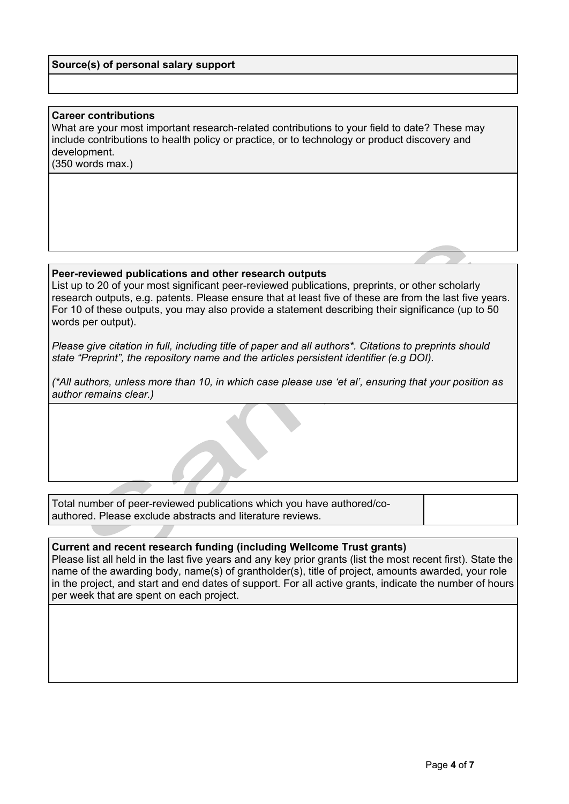### **Source(s) of personal salary support**

#### **Career contributions**

What are your most important research-related contributions to your field to date? These may include contributions to health policy or practice, or to technology or product discovery and development.

(350 words max.)

### **Peer-reviewed publications and other research outputs**

List up to 20 of your most significant peer-reviewed publications, preprints, or other scholarly research outputs, e.g. patents. Please ensure that at least five of these are from the last five years. For 10 of these outputs, you may also provide a statement describing their significance (up to 50 words per output).

*Please give citation in full, including title of paper and all authors\*. Citations to preprints should state "Preprint", the repository name and the articles persistent identifier (e.g DOI).*

(\*All authors, unless more than 10, in which case please use 'et al', ensuring that your position as *author remains clear.)*

Total number of peer-reviewed publications which you have authored/coauthored. Please exclude abstracts and literature reviews.

#### **Current and recent research funding (including Wellcome Trust grants)**

Please list all held in the last five years and any key prior grants (list the most recent first). State the name of the awarding body, name(s) of grantholder(s), title of project, amounts awarded, your role in the project, and start and end dates of support. For all active grants, indicate the number of hours per week that are spent on each project.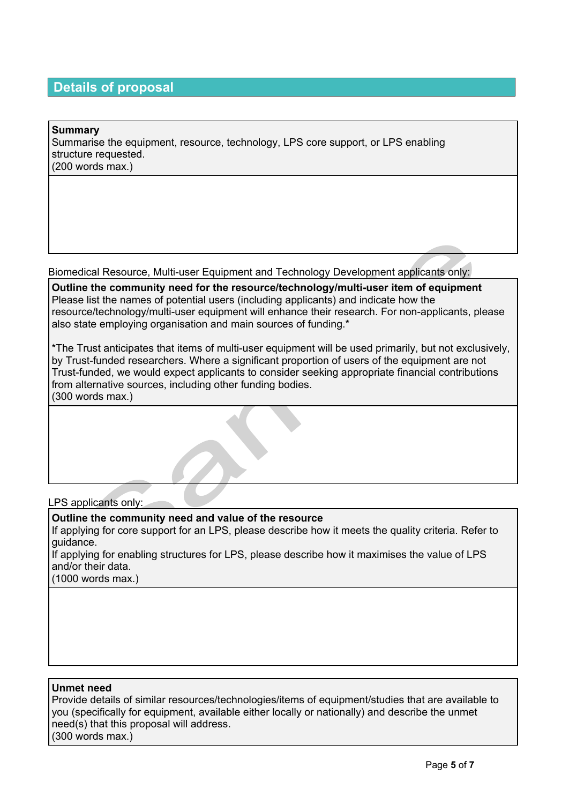# **Details of proposal**

| Summary<br>Summarise the equipment, resource, technology, LPS core support, or LPS enabling<br>structure requested.<br>$(200$ words max.) |  |
|-------------------------------------------------------------------------------------------------------------------------------------------|--|
|                                                                                                                                           |  |

Biomedical Resource, Multi-user Equipment and Technology Development applicants only:

**Outline the community need for the resource/technology/multi-user item of equipment** Please list the names of potential users (including applicants) and indicate how the resource/technology/multi-user equipment will enhance their research. For non-applicants, please also state employing organisation and main sources of funding.\*

\*The Trust anticipates that items of multi-user equipment will be used primarily, but not exclusively, by Trust-funded researchers. Where a significant proportion of users of the equipment are not Trust-funded, we would expect applicants to consider seeking appropriate financial contributions from alternative sources, including other funding bodies. (300 words max.)

#### LPS applicants only:

**Outline the community need and value of the resource**

If applying for core support for an LPS, please describe how it meets the quality criteria. Refer to guidance.

If applying for enabling structures for LPS, please describe how it maximises the value of LPS and/or their data.

(1000 words max.)

### **Unmet need**

Provide details of similar resources/technologies/items of equipment/studies that are available to you (specifically for equipment, available either locally or nationally) and describe the unmet need(s) that this proposal will address. (300 words max.)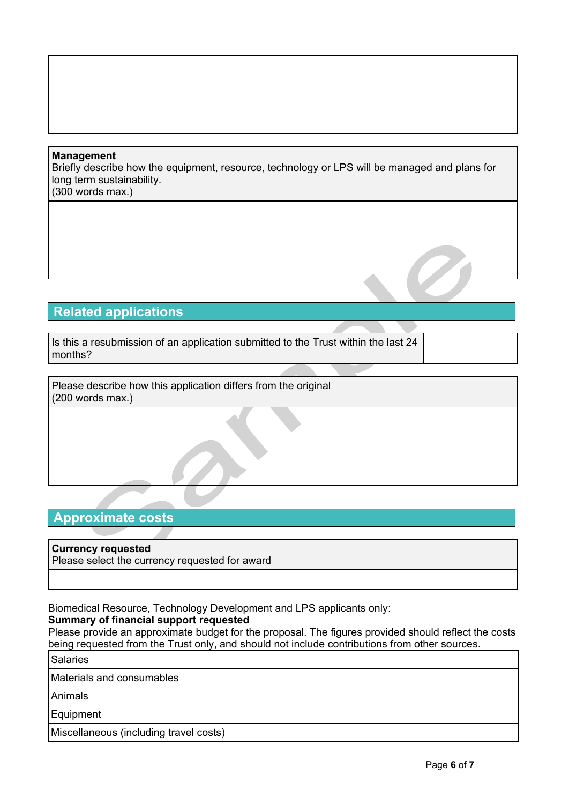### **Management**

Briefly describe how the equipment, resource, technology or LPS will be managed and plans for long term sustainability. (300 words max.)

# **Related applications**

Is this a resubmission of an application submitted to the Trust within the last 24 months?

Please describe how this application differs from the original (200 words max.)

# **Approximate costs**

### **Currency requested**

Please select the currency requested for award

Biomedical Resource, Technology Development and LPS applicants only:

### **Summary of financial support requested**

Please provide an approximate budget for the proposal. The figures provided should reflect the costs being requested from the Trust only, and should not include contributions from other sources.

Salaries

Materials and consumables

Animals

Equipment

Miscellaneous (including travel costs)